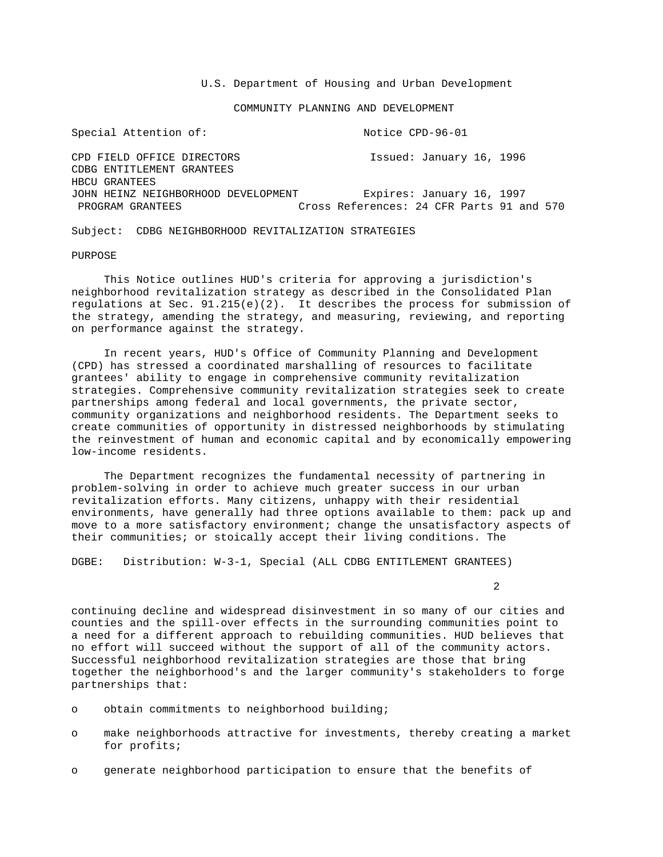U.S. Department of Housing and Urban Development

COMMUNITY PLANNING AND DEVELOPMENT

Special Attention of:  $N$  Notice CPD-96-01 CPD FIELD OFFICE DIRECTORS Issued: January 16, 1996 CDBG ENTITLEMENT GRANTEES HBCU GRANTEES JOHN HEINZ NEIGHBORHOOD DEVELOPMENT Expires: January 16, 1997 Cross References: 24 CFR Parts 91 and 570

Subject: CDBG NEIGHBORHOOD REVITALIZATION STRATEGIES

PURPOSE

 This Notice outlines HUD's criteria for approving a jurisdiction's neighborhood revitalization strategy as described in the Consolidated Plan regulations at Sec.  $91.215(e)(2)$ . It describes the process for submission of the strategy, amending the strategy, and measuring, reviewing, and reporting on performance against the strategy.

 In recent years, HUD's Office of Community Planning and Development (CPD) has stressed a coordinated marshalling of resources to facilitate grantees' ability to engage in comprehensive community revitalization strategies. Comprehensive community revitalization strategies seek to create partnerships among federal and local governments, the private sector, community organizations and neighborhood residents. The Department seeks to create communities of opportunity in distressed neighborhoods by stimulating the reinvestment of human and economic capital and by economically empowering low-income residents.

 The Department recognizes the fundamental necessity of partnering in problem-solving in order to achieve much greater success in our urban revitalization efforts. Many citizens, unhappy with their residential environments, have generally had three options available to them: pack up and move to a more satisfactory environment; change the unsatisfactory aspects of their communities; or stoically accept their living conditions. The

DGBE: Distribution: W-3-1, Special (ALL CDBG ENTITLEMENT GRANTEES)

2

continuing decline and widespread disinvestment in so many of our cities and counties and the spill-over effects in the surrounding communities point to a need for a different approach to rebuilding communities. HUD believes that no effort will succeed without the support of all of the community actors. Successful neighborhood revitalization strategies are those that bring together the neighborhood's and the larger community's stakeholders to forge partnerships that:

- o obtain commitments to neighborhood building;
- o make neighborhoods attractive for investments, thereby creating a market for profits;
- o generate neighborhood participation to ensure that the benefits of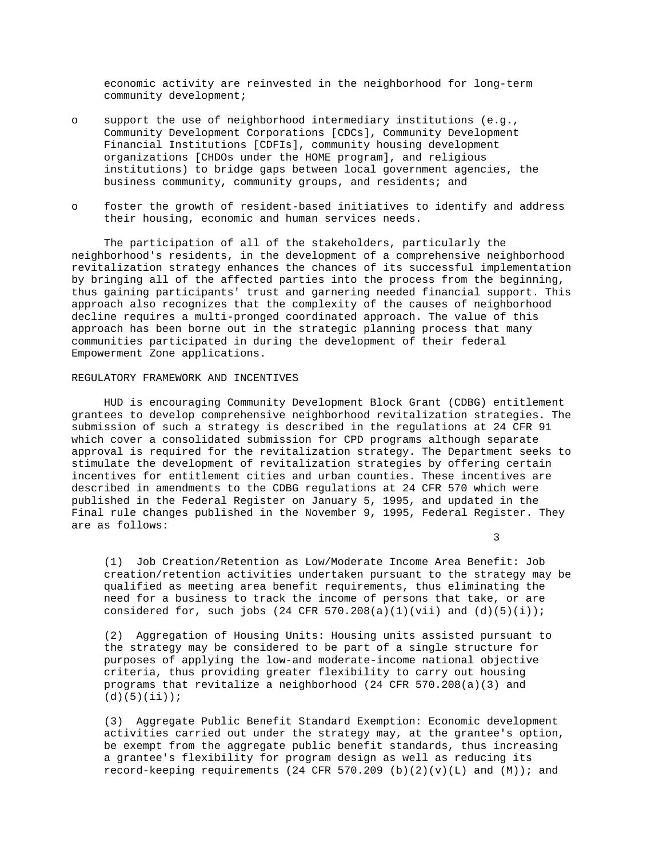economic activity are reinvested in the neighborhood for long-term community development;

- o support the use of neighborhood intermediary institutions (e.g., Community Development Corporations [CDCs], Community Development Financial Institutions [CDFIs], community housing development organizations [CHDOs under the HOME program], and religious institutions) to bridge gaps between local government agencies, the business community, community groups, and residents; and
- o foster the growth of resident-based initiatives to identify and address their housing, economic and human services needs.

 The participation of all of the stakeholders, particularly the neighborhood's residents, in the development of a comprehensive neighborhood revitalization strategy enhances the chances of its successful implementation by bringing all of the affected parties into the process from the beginning, thus gaining participants' trust and garnering needed financial support. This approach also recognizes that the complexity of the causes of neighborhood decline requires a multi-pronged coordinated approach. The value of this approach has been borne out in the strategic planning process that many communities participated in during the development of their federal Empowerment Zone applications.

### REGULATORY FRAMEWORK AND INCENTIVES

 HUD is encouraging Community Development Block Grant (CDBG) entitlement grantees to develop comprehensive neighborhood revitalization strategies. The submission of such a strategy is described in the regulations at 24 CFR 91 which cover a consolidated submission for CPD programs although separate approval is required for the revitalization strategy. The Department seeks to stimulate the development of revitalization strategies by offering certain incentives for entitlement cities and urban counties. These incentives are described in amendments to the CDBG regulations at 24 CFR 570 which were published in the Federal Register on January 5, 1995, and updated in the Final rule changes published in the November 9, 1995, Federal Register. They are as follows:

 $\sim$  3

 (1) Job Creation/Retention as Low/Moderate Income Area Benefit: Job creation/retention activities undertaken pursuant to the strategy may be qualified as meeting area benefit requirements, thus eliminating the need for a business to track the income of persons that take, or are considered for, such jobs (24 CFR 570.208(a)(1)(vii) and  $(d)(5)(i))$ ;

 (2) Aggregation of Housing Units: Housing units assisted pursuant to the strategy may be considered to be part of a single structure for purposes of applying the low-and moderate-income national objective criteria, thus providing greater flexibility to carry out housing programs that revitalize a neighborhood (24 CFR 570.208(a)(3) and  $(d)(5)(ii))$ ;

 (3) Aggregate Public Benefit Standard Exemption: Economic development activities carried out under the strategy may, at the grantee's option, be exempt from the aggregate public benefit standards, thus increasing a grantee's flexibility for program design as well as reducing its record-keeping requirements (24 CFR 570.209 (b)(2)(v)(L) and (M)); and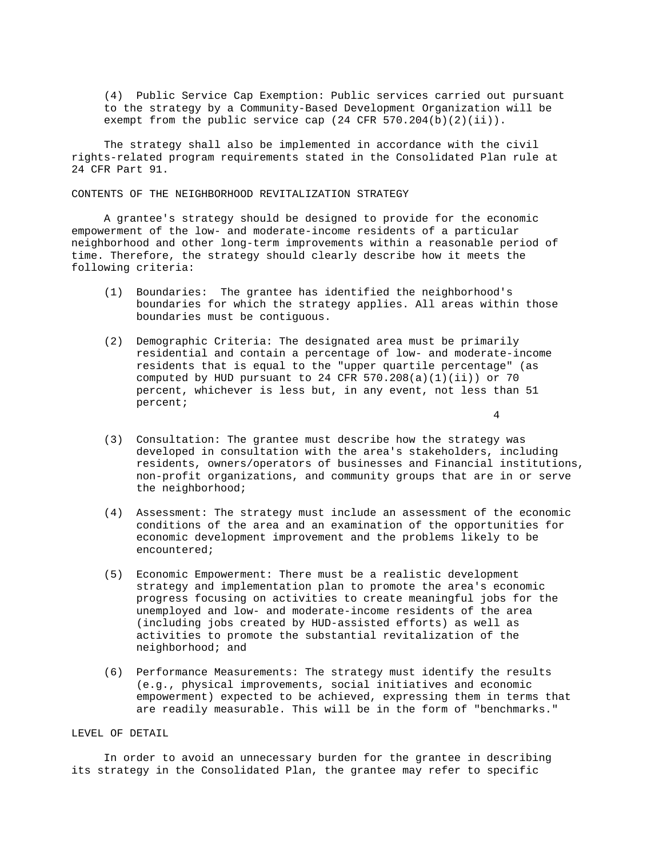(4) Public Service Cap Exemption: Public services carried out pursuant to the strategy by a Community-Based Development Organization will be exempt from the public service cap  $(24$  CFR  $570.204(b)(2)(ii)$ .

 The strategy shall also be implemented in accordance with the civil rights-related program requirements stated in the Consolidated Plan rule at 24 CFR Part 91.

CONTENTS OF THE NEIGHBORHOOD REVITALIZATION STRATEGY

 A grantee's strategy should be designed to provide for the economic empowerment of the low- and moderate-income residents of a particular neighborhood and other long-term improvements within a reasonable period of time. Therefore, the strategy should clearly describe how it meets the following criteria:

- (1) Boundaries: The grantee has identified the neighborhood's boundaries for which the strategy applies. All areas within those boundaries must be contiguous.
- (2) Demographic Criteria: The designated area must be primarily residential and contain a percentage of low- and moderate-income residents that is equal to the "upper quartile percentage" (as computed by HUD pursuant to 24 CFR  $570.208(a)(1)(ii)$  or  $70$  percent, whichever is less but, in any event, not less than 51 percent;

4

- (3) Consultation: The grantee must describe how the strategy was developed in consultation with the area's stakeholders, including residents, owners/operators of businesses and Financial institutions, non-profit organizations, and community groups that are in or serve the neighborhood;
- (4) Assessment: The strategy must include an assessment of the economic conditions of the area and an examination of the opportunities for economic development improvement and the problems likely to be encountered;
- (5) Economic Empowerment: There must be a realistic development strategy and implementation plan to promote the area's economic progress focusing on activities to create meaningful jobs for the unemployed and low- and moderate-income residents of the area (including jobs created by HUD-assisted efforts) as well as activities to promote the substantial revitalization of the neighborhood; and
- (6) Performance Measurements: The strategy must identify the results (e.g., physical improvements, social initiatives and economic empowerment) expected to be achieved, expressing them in terms that are readily measurable. This will be in the form of "benchmarks."

# LEVEL OF DETAIL

 In order to avoid an unnecessary burden for the grantee in describing its strategy in the Consolidated Plan, the grantee may refer to specific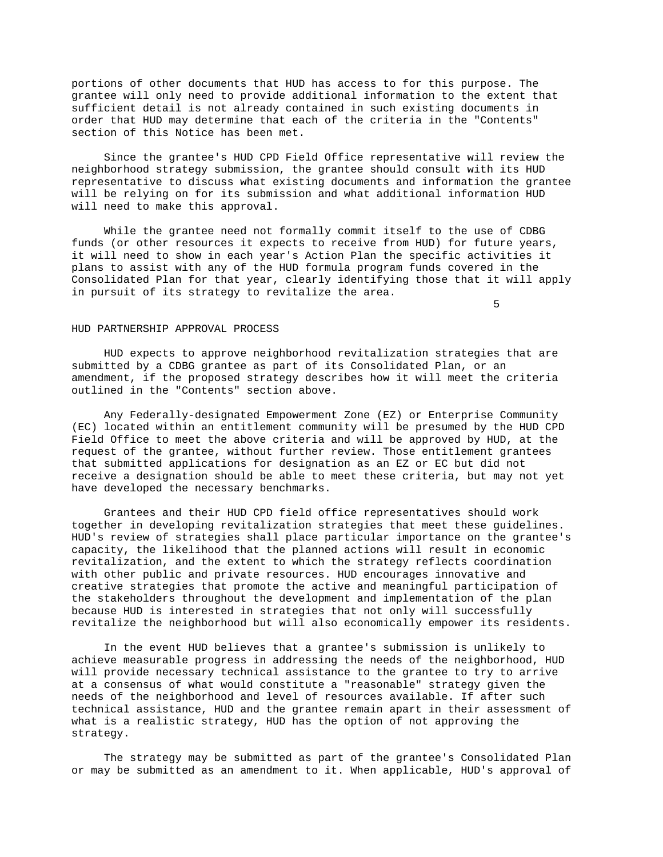portions of other documents that HUD has access to for this purpose. The grantee will only need to provide additional information to the extent that sufficient detail is not already contained in such existing documents in order that HUD may determine that each of the criteria in the "Contents" section of this Notice has been met.

 Since the grantee's HUD CPD Field Office representative will review the neighborhood strategy submission, the grantee should consult with its HUD representative to discuss what existing documents and information the grantee will be relying on for its submission and what additional information HUD will need to make this approval.

 While the grantee need not formally commit itself to the use of CDBG funds (or other resources it expects to receive from HUD) for future years, it will need to show in each year's Action Plan the specific activities it plans to assist with any of the HUD formula program funds covered in the Consolidated Plan for that year, clearly identifying those that it will apply in pursuit of its strategy to revitalize the area.

 $\sim$  5

### HUD PARTNERSHIP APPROVAL PROCESS

 HUD expects to approve neighborhood revitalization strategies that are submitted by a CDBG grantee as part of its Consolidated Plan, or an amendment, if the proposed strategy describes how it will meet the criteria outlined in the "Contents" section above.

 Any Federally-designated Empowerment Zone (EZ) or Enterprise Community (EC) located within an entitlement community will be presumed by the HUD CPD Field Office to meet the above criteria and will be approved by HUD, at the request of the grantee, without further review. Those entitlement grantees that submitted applications for designation as an EZ or EC but did not receive a designation should be able to meet these criteria, but may not yet have developed the necessary benchmarks.

 Grantees and their HUD CPD field office representatives should work together in developing revitalization strategies that meet these guidelines. HUD's review of strategies shall place particular importance on the grantee's capacity, the likelihood that the planned actions will result in economic revitalization, and the extent to which the strategy reflects coordination with other public and private resources. HUD encourages innovative and creative strategies that promote the active and meaningful participation of the stakeholders throughout the development and implementation of the plan because HUD is interested in strategies that not only will successfully revitalize the neighborhood but will also economically empower its residents.

 In the event HUD believes that a grantee's submission is unlikely to achieve measurable progress in addressing the needs of the neighborhood, HUD will provide necessary technical assistance to the grantee to try to arrive at a consensus of what would constitute a "reasonable" strategy given the needs of the neighborhood and level of resources available. If after such technical assistance, HUD and the grantee remain apart in their assessment of what is a realistic strategy, HUD has the option of not approving the strategy.

 The strategy may be submitted as part of the grantee's Consolidated Plan or may be submitted as an amendment to it. When applicable, HUD's approval of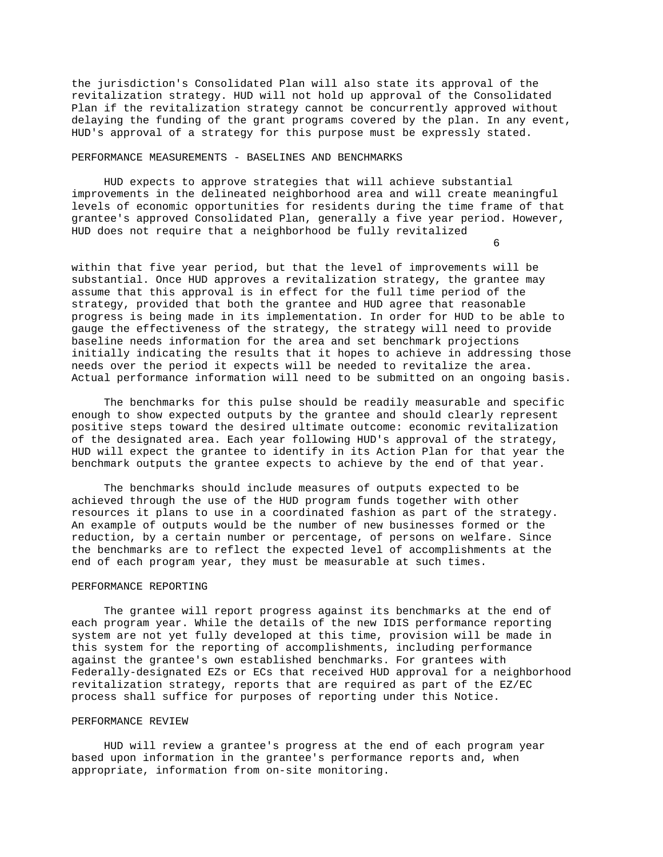the jurisdiction's Consolidated Plan will also state its approval of the revitalization strategy. HUD will not hold up approval of the Consolidated Plan if the revitalization strategy cannot be concurrently approved without delaying the funding of the grant programs covered by the plan. In any event, HUD's approval of a strategy for this purpose must be expressly stated.

### PERFORMANCE MEASUREMENTS - BASELINES AND BENCHMARKS

 HUD expects to approve strategies that will achieve substantial improvements in the delineated neighborhood area and will create meaningful levels of economic opportunities for residents during the time frame of that grantee's approved Consolidated Plan, generally a five year period. However, HUD does not require that a neighborhood be fully revitalized

<u>6</u> and the contract of the contract of the contract of the contract of the contract of the contract of the contract of the contract of the contract of the contract of the contract of the contract of the contract of the co

within that five year period, but that the level of improvements will be substantial. Once HUD approves a revitalization strategy, the grantee may assume that this approval is in effect for the full time period of the strategy, provided that both the grantee and HUD agree that reasonable progress is being made in its implementation. In order for HUD to be able to gauge the effectiveness of the strategy, the strategy will need to provide baseline needs information for the area and set benchmark projections initially indicating the results that it hopes to achieve in addressing those needs over the period it expects will be needed to revitalize the area. Actual performance information will need to be submitted on an ongoing basis.

 The benchmarks for this pulse should be readily measurable and specific enough to show expected outputs by the grantee and should clearly represent positive steps toward the desired ultimate outcome: economic revitalization of the designated area. Each year following HUD's approval of the strategy, HUD will expect the grantee to identify in its Action Plan for that year the benchmark outputs the grantee expects to achieve by the end of that year.

 The benchmarks should include measures of outputs expected to be achieved through the use of the HUD program funds together with other resources it plans to use in a coordinated fashion as part of the strategy. An example of outputs would be the number of new businesses formed or the reduction, by a certain number or percentage, of persons on welfare. Since the benchmarks are to reflect the expected level of accomplishments at the end of each program year, they must be measurable at such times.

# PERFORMANCE REPORTING

 The grantee will report progress against its benchmarks at the end of each program year. While the details of the new IDIS performance reporting system are not yet fully developed at this time, provision will be made in this system for the reporting of accomplishments, including performance against the grantee's own established benchmarks. For grantees with Federally-designated EZs or ECs that received HUD approval for a neighborhood revitalization strategy, reports that are required as part of the EZ/EC process shall suffice for purposes of reporting under this Notice.

### PERFORMANCE REVIEW

 HUD will review a grantee's progress at the end of each program year based upon information in the grantee's performance reports and, when appropriate, information from on-site monitoring.